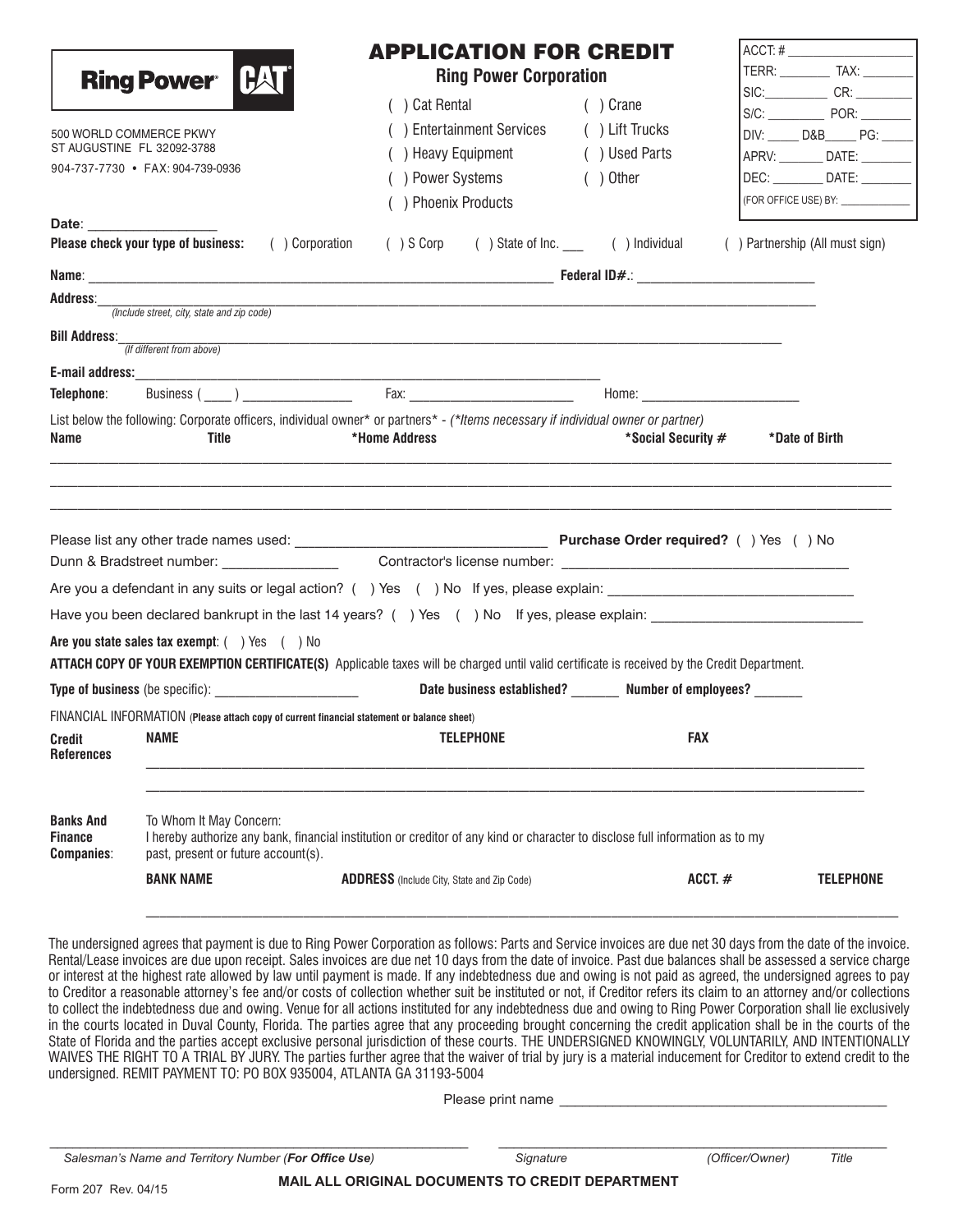| <b>Ring Power</b> [HA<br><b>Ring Power Corporation</b><br>( ) Cat Rental<br>( ) Crane<br>S/C: POR: POR:<br>() Entertainment Services<br>( ) Lift Trucks<br>500 WORLD COMMERCE PKWY<br>DIV: _____ D&B_____ PG: ____<br>ST AUGUSTINE FL 32092-3788<br>() Heavy Equipment<br>( ) Used Parts<br>904-737-7730 • FAX: 904-739-0936<br>() Power Systems<br>$( )$ Other<br>() Phoenix Products<br>Date: the contract of the contract of the contract of the contract of the contract of the contract of the contract of the contract of the contract of the contract of the contract of the contract of the contract of the cont<br>Please check your type of business: ( ) Corporation ( ) S Corp ( ) State of Inc. ( ) Individual ( ) Partnership (All must sign)<br><u> 1989 - Johann Barbara, martin da basar da basar da basar da basar da basar da basar da basar da basar da basa</u><br>(Include street, city, state and zip code)<br><b>Bill Address:</b><br>(If different from above)<br>List below the following: Corporate officers, individual owner* or partners* - (*Items necessary if individual owner or partner)<br>*Home Address<br>*Social Security #<br>*Date of Birth<br>Name<br>Title<br>Date business established? Number of employees?<br><b>FAX</b><br><b>NAME</b><br><b>TELEPHONE</b><br>Credit<br>To Whom It May Concern:<br><b>Banks And</b><br>I hereby authorize any bank, financial institution or creditor of any kind or character to disclose full information as to my<br>past, present or future account(s).<br><b>BANK NAME</b><br>ACCT. $#$<br><b>ADDRESS</b> (Include City, State and Zip Code) |  | <b>APPLICATION FOR CREDIT</b> | $ACCT: # \_$                         |
|----------------------------------------------------------------------------------------------------------------------------------------------------------------------------------------------------------------------------------------------------------------------------------------------------------------------------------------------------------------------------------------------------------------------------------------------------------------------------------------------------------------------------------------------------------------------------------------------------------------------------------------------------------------------------------------------------------------------------------------------------------------------------------------------------------------------------------------------------------------------------------------------------------------------------------------------------------------------------------------------------------------------------------------------------------------------------------------------------------------------------------------------------------------------------------------------------------------------------------------------------------------------------------------------------------------------------------------------------------------------------------------------------------------------------------------------------------------------------------------------------------------------------------------------------------------------------------------------------------------------------------|--|-------------------------------|--------------------------------------|
| <b>Address:</b><br>E-mail address:<br>Telephone:<br>Are you state sales tax exempt: () Yes () No<br>ATTACH COPY OF YOUR EXEMPTION CERTIFICATE(S) Applicable taxes will be charged until valid certificate is received by the Credit Department.<br>FINANCIAL INFORMATION (Please attach copy of current financial statement or balance sheet)<br><b>References</b><br><b>Finance</b><br><b>Companies:</b>                                                                                                                                                                                                                                                                                                                                                                                                                                                                                                                                                                                                                                                                                                                                                                                                                                                                                                                                                                                                                                                                                                                                                                                                                        |  |                               | TERR: _____________ TAX: ___________ |
|                                                                                                                                                                                                                                                                                                                                                                                                                                                                                                                                                                                                                                                                                                                                                                                                                                                                                                                                                                                                                                                                                                                                                                                                                                                                                                                                                                                                                                                                                                                                                                                                                                  |  |                               | SIC: CR: CR: CR:                     |
|                                                                                                                                                                                                                                                                                                                                                                                                                                                                                                                                                                                                                                                                                                                                                                                                                                                                                                                                                                                                                                                                                                                                                                                                                                                                                                                                                                                                                                                                                                                                                                                                                                  |  |                               |                                      |
|                                                                                                                                                                                                                                                                                                                                                                                                                                                                                                                                                                                                                                                                                                                                                                                                                                                                                                                                                                                                                                                                                                                                                                                                                                                                                                                                                                                                                                                                                                                                                                                                                                  |  |                               | APRV: __________ DATE: _________     |
|                                                                                                                                                                                                                                                                                                                                                                                                                                                                                                                                                                                                                                                                                                                                                                                                                                                                                                                                                                                                                                                                                                                                                                                                                                                                                                                                                                                                                                                                                                                                                                                                                                  |  |                               | DEC: _________ DATE: ________        |
|                                                                                                                                                                                                                                                                                                                                                                                                                                                                                                                                                                                                                                                                                                                                                                                                                                                                                                                                                                                                                                                                                                                                                                                                                                                                                                                                                                                                                                                                                                                                                                                                                                  |  |                               | (FOR OFFICE USE) BY: ______________  |
|                                                                                                                                                                                                                                                                                                                                                                                                                                                                                                                                                                                                                                                                                                                                                                                                                                                                                                                                                                                                                                                                                                                                                                                                                                                                                                                                                                                                                                                                                                                                                                                                                                  |  |                               |                                      |
|                                                                                                                                                                                                                                                                                                                                                                                                                                                                                                                                                                                                                                                                                                                                                                                                                                                                                                                                                                                                                                                                                                                                                                                                                                                                                                                                                                                                                                                                                                                                                                                                                                  |  |                               |                                      |
|                                                                                                                                                                                                                                                                                                                                                                                                                                                                                                                                                                                                                                                                                                                                                                                                                                                                                                                                                                                                                                                                                                                                                                                                                                                                                                                                                                                                                                                                                                                                                                                                                                  |  |                               |                                      |
|                                                                                                                                                                                                                                                                                                                                                                                                                                                                                                                                                                                                                                                                                                                                                                                                                                                                                                                                                                                                                                                                                                                                                                                                                                                                                                                                                                                                                                                                                                                                                                                                                                  |  |                               |                                      |
|                                                                                                                                                                                                                                                                                                                                                                                                                                                                                                                                                                                                                                                                                                                                                                                                                                                                                                                                                                                                                                                                                                                                                                                                                                                                                                                                                                                                                                                                                                                                                                                                                                  |  |                               |                                      |
|                                                                                                                                                                                                                                                                                                                                                                                                                                                                                                                                                                                                                                                                                                                                                                                                                                                                                                                                                                                                                                                                                                                                                                                                                                                                                                                                                                                                                                                                                                                                                                                                                                  |  |                               |                                      |
|                                                                                                                                                                                                                                                                                                                                                                                                                                                                                                                                                                                                                                                                                                                                                                                                                                                                                                                                                                                                                                                                                                                                                                                                                                                                                                                                                                                                                                                                                                                                                                                                                                  |  |                               |                                      |
|                                                                                                                                                                                                                                                                                                                                                                                                                                                                                                                                                                                                                                                                                                                                                                                                                                                                                                                                                                                                                                                                                                                                                                                                                                                                                                                                                                                                                                                                                                                                                                                                                                  |  |                               |                                      |
|                                                                                                                                                                                                                                                                                                                                                                                                                                                                                                                                                                                                                                                                                                                                                                                                                                                                                                                                                                                                                                                                                                                                                                                                                                                                                                                                                                                                                                                                                                                                                                                                                                  |  |                               |                                      |
|                                                                                                                                                                                                                                                                                                                                                                                                                                                                                                                                                                                                                                                                                                                                                                                                                                                                                                                                                                                                                                                                                                                                                                                                                                                                                                                                                                                                                                                                                                                                                                                                                                  |  |                               |                                      |
|                                                                                                                                                                                                                                                                                                                                                                                                                                                                                                                                                                                                                                                                                                                                                                                                                                                                                                                                                                                                                                                                                                                                                                                                                                                                                                                                                                                                                                                                                                                                                                                                                                  |  |                               |                                      |
|                                                                                                                                                                                                                                                                                                                                                                                                                                                                                                                                                                                                                                                                                                                                                                                                                                                                                                                                                                                                                                                                                                                                                                                                                                                                                                                                                                                                                                                                                                                                                                                                                                  |  |                               |                                      |
|                                                                                                                                                                                                                                                                                                                                                                                                                                                                                                                                                                                                                                                                                                                                                                                                                                                                                                                                                                                                                                                                                                                                                                                                                                                                                                                                                                                                                                                                                                                                                                                                                                  |  |                               |                                      |
|                                                                                                                                                                                                                                                                                                                                                                                                                                                                                                                                                                                                                                                                                                                                                                                                                                                                                                                                                                                                                                                                                                                                                                                                                                                                                                                                                                                                                                                                                                                                                                                                                                  |  |                               |                                      |
|                                                                                                                                                                                                                                                                                                                                                                                                                                                                                                                                                                                                                                                                                                                                                                                                                                                                                                                                                                                                                                                                                                                                                                                                                                                                                                                                                                                                                                                                                                                                                                                                                                  |  |                               |                                      |
|                                                                                                                                                                                                                                                                                                                                                                                                                                                                                                                                                                                                                                                                                                                                                                                                                                                                                                                                                                                                                                                                                                                                                                                                                                                                                                                                                                                                                                                                                                                                                                                                                                  |  |                               |                                      |
|                                                                                                                                                                                                                                                                                                                                                                                                                                                                                                                                                                                                                                                                                                                                                                                                                                                                                                                                                                                                                                                                                                                                                                                                                                                                                                                                                                                                                                                                                                                                                                                                                                  |  |                               |                                      |
|                                                                                                                                                                                                                                                                                                                                                                                                                                                                                                                                                                                                                                                                                                                                                                                                                                                                                                                                                                                                                                                                                                                                                                                                                                                                                                                                                                                                                                                                                                                                                                                                                                  |  |                               | <b>TELEPHONE</b>                     |

The undersigned agrees that payment is due to Ring Power Corporation as follows: Parts and Service invoices are due net 30 days from the date of the invoice. Rental/Lease invoices are due upon receipt. Sales invoices are due net 10 days from the date of invoice. Past due balances shall be assessed a service charge or interest at the highest rate allowed by law until payment is made. If any indebtedness due and owing is not paid as agreed, the undersigned agrees to pay to Creditor a reasonable attorney's fee and/or costs of collection whether suit be instituted or not, if Creditor refers its claim to an attorney and/or collections to collect the indebtedness due and owing. Venue for all actions instituted for any indebtedness due and owing to Ring Power Corporation shall lie exclusively in the courts located in Duval County, Florida. The parties agree that any proceeding brought concerning the credit application shall be in the courts of the State of Florida and the parties accept exclusive personal jurisdiction of these courts. THE UNDERSIGNED KNOWINGLY, VOLUNTARILY, AND INTENTIONALLY WAIVES THE RIGHT TO A TRIAL BY JURY. The parties further agree that the waiver of trial by jury is a material inducement for Creditor to extend credit to the undersigned. REMIT PAYMENT TO: PO BOX 935004, ATLANTA GA 31193-5004

Please print name

\_\_\_\_\_\_\_\_\_\_\_\_\_\_\_\_\_\_\_\_\_\_\_\_\_\_\_\_\_\_\_\_\_\_\_\_\_\_\_\_\_\_\_\_\_\_\_\_\_\_\_\_\_\_\_ \_\_\_\_\_\_\_\_\_\_\_\_\_\_\_\_\_\_\_\_\_\_\_\_\_\_\_\_\_\_\_\_\_\_\_\_\_\_\_\_\_\_\_\_\_\_\_\_\_\_\_  *Salesman's Name and Territory Number (For Office Use) Signature (Officer/Owner) Title*

Form 207 Rev. 04/15 **MAIL ALL ORIGINAL DOCUMENTS TO CREDIT DEPARTMENT**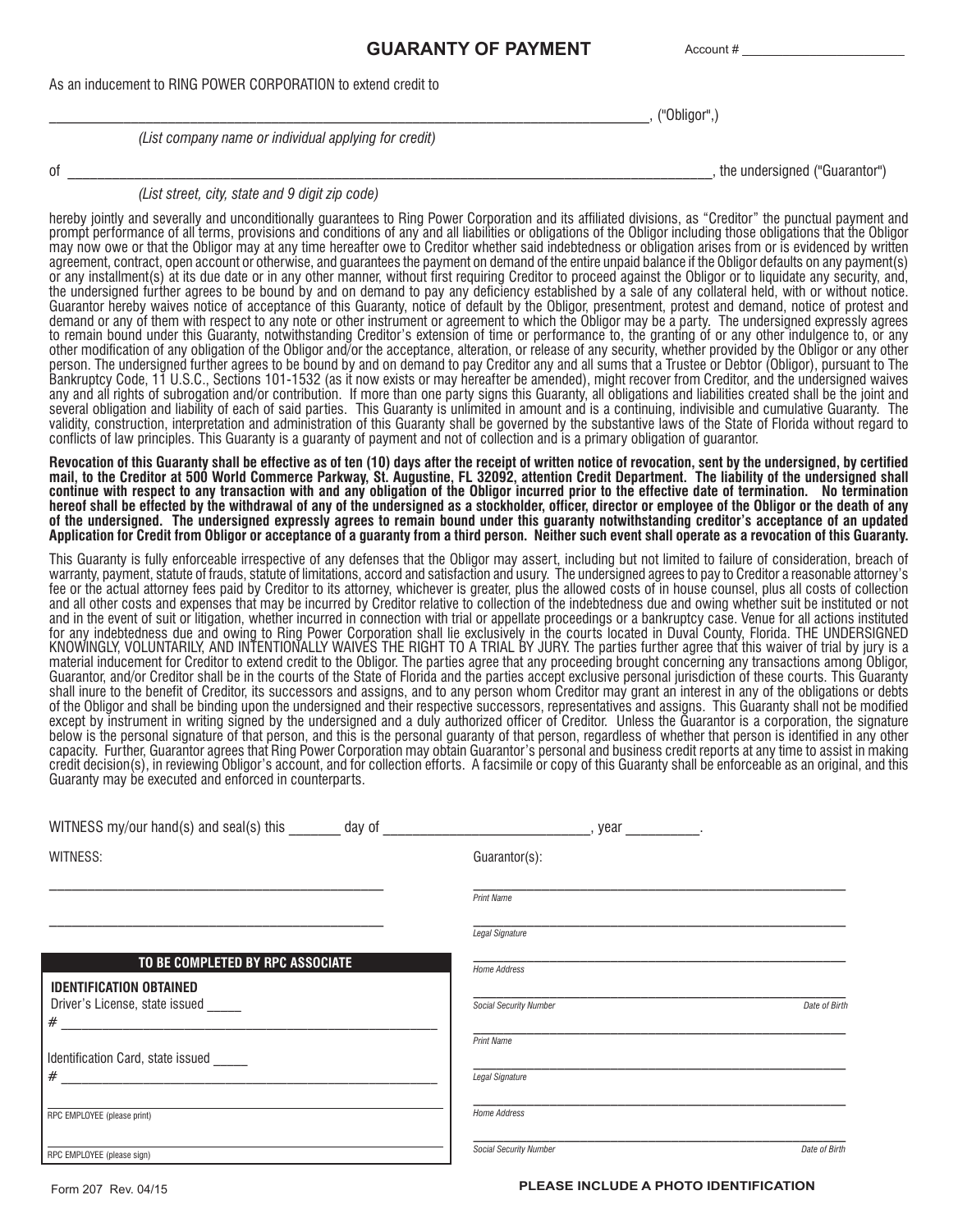## **GUARANTY OF PAYMENT**

Account #

As an inducement to RING POWER CORPORATION to extend credit to

\_\_\_\_\_\_\_\_\_\_\_\_\_\_\_\_\_\_\_\_\_\_\_\_\_\_\_\_\_\_\_\_\_\_\_\_\_\_\_\_\_\_\_\_\_\_\_\_\_\_\_\_\_\_\_\_\_\_\_\_\_\_\_\_\_\_\_\_\_\_\_\_\_\_\_\_\_\_\_\_\_, ("Obligor",)

*(List company name or individual applying for credit)*

of \_\_\_\_\_\_\_\_\_\_\_\_\_\_\_\_\_\_\_\_\_\_\_\_\_\_\_\_\_\_\_\_\_\_\_\_\_\_\_\_\_\_\_\_\_\_\_\_\_\_\_\_\_\_\_\_\_\_\_\_\_\_\_\_\_\_\_\_\_\_\_\_\_\_\_\_\_\_\_\_\_\_\_\_\_\_\_, the undersigned ("Guarantor")

*(List street, city, state and 9 digit zip code)*

hereby jointly and severally and unconditionally guarantees to Ring Power Corporation and its affiliated divisions, as "Creditor" the punctual payment and prompt performance of all terms, provisions and conditions of any and all liabilities or obligations of the Obligor including those obligations that the Obligor may now owe or that the Obligor may at any time hereafter owe to Creditor whether said indebtedness or obligation arises from or is evidenced by written agreement, contract, open account or otherwise, and guarantees the payment on demand of the entire unpaid balance if the Obligor defaults on any payment(s) or any installment(s) at its due date or in any other manner, without first requiring Creditor to proceed against the Obligor or to liquidate any security, and, the undersigned further agrees to be bound by and on demand to pay any deficiency established by a sale of any collateral held, with or without notice. Guarantor hereby waives notice of acceptance of this Guaranty, notice of default by the Obligor, presentment, protest and demand, notice of protest and demand or any of them with respect to any note or other instrument or agreement to which the Obligor may be a party. The undersigned expressly agrees to remain bound under this Guaranty, notwithstanding Creditor's extension of time or performance to, the granting of or any other indulgence to, or any other modification of any obligation of the Obligor and/or the acceptance, alteration, or release of any security, whether provided by the Obligor or any other person. The undersigned further agrees to be bound by and on demand to pay Creditor any and all sums that a Trustee or Debtor (Obligor), pursuant to The Bankruptcy Code, 11 U.S.C., Sections 101-1532 (as it now exists or may hereafter be amended), might recover from Creditor, and the undersigned waives any and all rights of subrogation and/or contribution. If more than one party signs this Guaranty, all obligations and liabilities created shall be the joint and several obligation and liability of each of said parties. This Guaranty is unlimited in amount and is a continuing, indivisible and cumulative Guaranty. The validity, construction, interpretation and administration of this Guaranty shall be governed by the substantive laws of the State of Florida without regard to conflicts of law principles. This Guaranty is a guaranty of payment and not of collection and is a primary obligation of guarantor.

**Revocation of this Guaranty shall be effective as of ten (10) days after the receipt of written notice of revocation, sent by the undersigned, by certified mail, to the Creditor at 500 World Commerce Parkway, St. Augustine, FL 32092, attention Credit Department. The liability of the undersigned shall continue with respect to any transaction with and any obligation of the Obligor incurred prior to the effective date of termination. No termination hereof shall be effected by the withdrawal of any of the undersigned as a stockholder, officer, director or employee of the Obligor or the death of any of the undersigned. The undersigned expressly agrees to remain bound under this guaranty notwithstanding creditor's acceptance of an updated Application for Credit from Obligor or acceptance of a guaranty from a third person. Neither such event shall operate as a revocation of this Guaranty.**

This Guaranty is fully enforceable irrespective of any defenses that the Obligor may assert, including but not limited to failure of consideration, breach of warranty, payment, statute of frauds, statute of limitations, accord and satisfaction and usury. The undersigned agrees to pay to Creditor a reasonable attorney's fee or the actual attorney fees paid by Creditor to its attorney, whichever is greater, plus the allowed costs of in house counsel, plus all costs of collection and all other costs and expenses that may be incurred by Creditor relative to collection of the indebtedness due and owing whether suit be instituted or not and in the event of suit or litigation, whether incurred in connection with trial or appellate proceedings or a bankruptcy case. Venue for all actions instituted for any indebtedness due and owing to Ring Power Corporation shall lie exclusively in the courts located in Duval County, Florida. THE UNDERSIGNED KNOWINGLY, VOLUNTARILY, AND INTENTIONALLY WAIVES THE RIGHT TO A TRIAL BY JURY. The parties further agree that this waiver of trial by jury is a material inducement for Creditor to extend credit to the Obligor. The parties agree that any proceeding brought concerning any transactions among Obligor, Guarantor, and/or Creditor shall be in the courts of the State of Florida and the parties accept exclusive personal jurisdiction of these courts. This Guaranty shall inure to the benefit of Creditor, its successors and assigns, and to any person whom Creditor may grant an interest in any of the obligations or debts of the Obligor and shall be binding upon the undersigned and their respective successors, representatives and assigns. This Guaranty shall not be modified except by instrument in writing signed by the undersigned and a duly authorized officer of Creditor. Unless the Guarantor is a corporation, the signature below is the personal signature of that person, and this is the personal guaranty of that person, regardless of whether that person is identified in any other capacity. Further, Guarantor agrees that Ring Power Corporation may obtain Guarantor's personal and business credit reports at any time to assist in making credit decision(s), in reviewing Obligor's account, and for collection efforts. A facsimile or copy of this Guaranty shall be enforceable as an original, and this Guaranty may be executed and enforced in counterparts.

| WITNESS my/our hand(s) and seal(s) this                               | day of | , year<br><b>Contract Contract</b> |               |
|-----------------------------------------------------------------------|--------|------------------------------------|---------------|
| WITNESS:                                                              |        | Guarantor(s):                      |               |
|                                                                       |        | <b>Print Name</b>                  |               |
|                                                                       |        | Legal Signature                    |               |
| TO BE COMPLETED BY RPC ASSOCIATE                                      |        | Home Address                       |               |
| <b>IDENTIFICATION OBTAINED</b><br>Driver's License, state issued<br># |        | <b>Social Security Number</b>      | Date of Birth |
| Identification Card, state issued                                     |        | <b>Print Name</b>                  |               |
| #                                                                     |        | <b>Legal Signature</b>             |               |
| RPC EMPLOYEE (please print)                                           |        | Home Address                       |               |
| RPC EMPLOYEE (please sign)                                            |        | Social Security Number             | Date of Birth |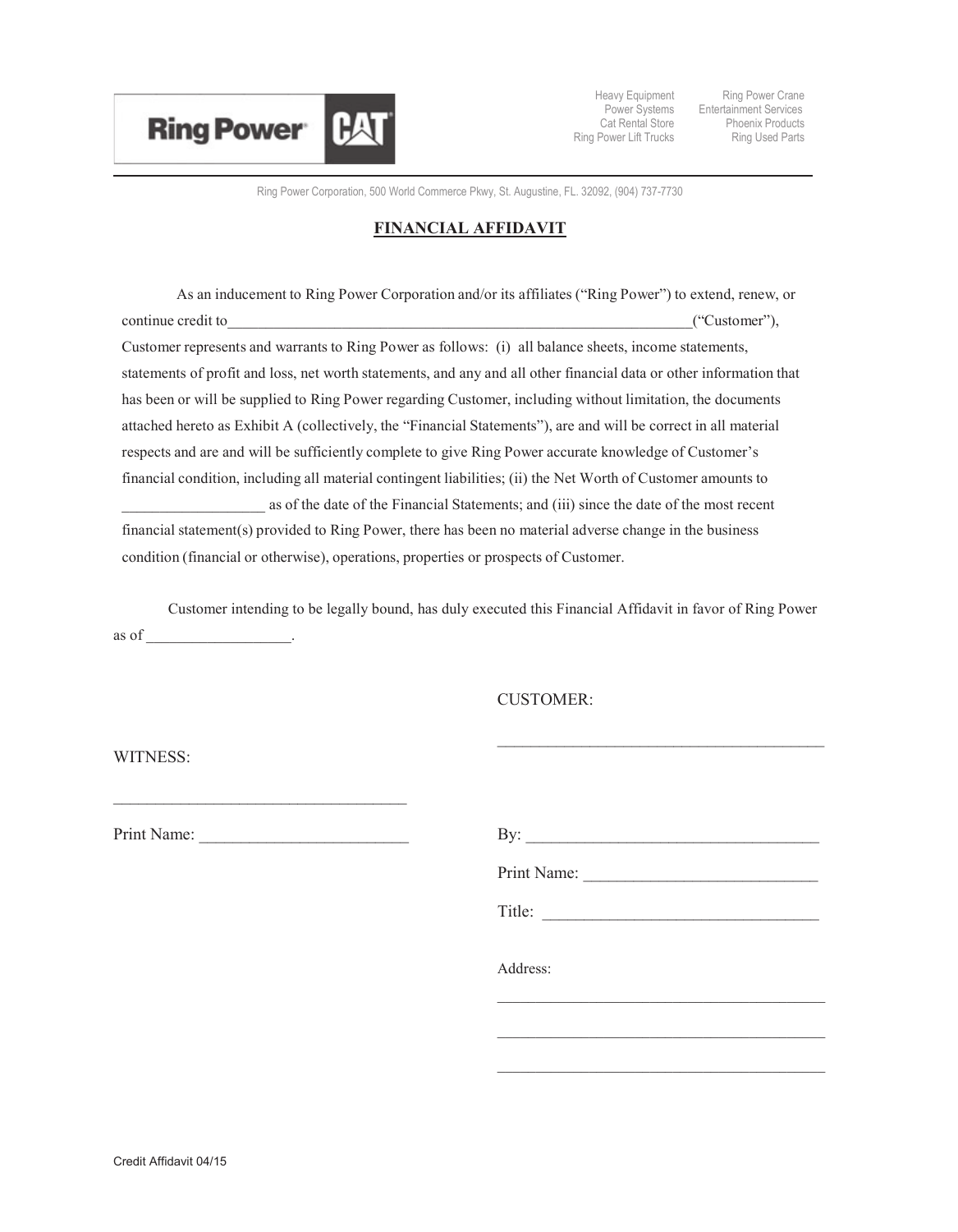

Heavy Equipment Cat Rental Store Ring Power Lift Trucks

Power Systems Entertainment Services Ring Power Crane Phoenix Products Ring Used Parts

Ring Power Corporation, 500 World Commerce Pkwy, St. Augustine, FL. 32092, (904) 737-7730

## **FINANCIAL AFFIDAVIT**

As an inducement to Ring Power Corporation and/or its affiliates ("Ring Power") to extend, renew, or continue credit to  $($ "Customer"), Customer represents and warrants to Ring Power as follows: (i) all balance sheets, income statements, statements of profit and loss, net worth statements, and any and all other financial data or other information that has been or will be supplied to Ring Power regarding Customer, including without limitation, the documents attached hereto as Exhibit A (collectively, the "Financial Statements"), are and will be correct in all material respects and are and will be sufficiently complete to give Ring Power accurate knowledge of Customer's financial condition, including all material contingent liabilities; (ii) the Net Worth of Customer amounts to as of the date of the Financial Statements; and (iii) since the date of the most recent financial statement(s) provided to Ring Power, there has been no material adverse change in the business condition (financial or otherwise), operations, properties or prospects of Customer.

Customer intending to be legally bound, has duly executed this Financial Affidavit in favor of Ring Power as of \_\_\_\_\_\_\_\_\_\_\_\_\_\_\_\_\_\_\_.

CUSTOMER:

WITNESS:

Print Name: \_\_\_\_\_\_\_\_\_\_\_\_\_\_\_\_\_\_\_\_\_\_\_\_\_ By: \_\_\_\_\_\_\_\_\_\_\_\_\_\_\_\_\_\_\_\_\_\_\_\_\_\_\_\_\_\_\_\_\_\_\_

\_\_\_\_\_\_\_\_\_\_\_\_\_\_\_\_\_\_\_\_\_\_\_\_\_\_\_\_\_\_\_\_\_\_\_

| Print Name: |
|-------------|
| Title:      |
| Address:    |

\_\_\_\_\_\_\_\_\_\_\_\_\_\_\_\_\_\_\_\_\_\_\_\_\_\_\_\_\_\_\_\_\_\_\_\_\_\_\_\_\_\_\_

\_\_\_\_\_\_\_\_\_\_\_\_\_\_\_\_\_\_\_\_\_\_\_\_\_\_\_\_\_\_\_\_\_\_\_\_\_\_\_\_\_\_\_

\_\_\_\_\_\_\_\_\_\_\_\_\_\_\_\_\_\_\_\_\_\_\_\_\_\_\_\_\_\_\_\_\_\_\_\_\_\_\_\_\_\_\_

 $\mathcal{L}_\text{max}$  and  $\mathcal{L}_\text{max}$  and  $\mathcal{L}_\text{max}$  and  $\mathcal{L}_\text{max}$